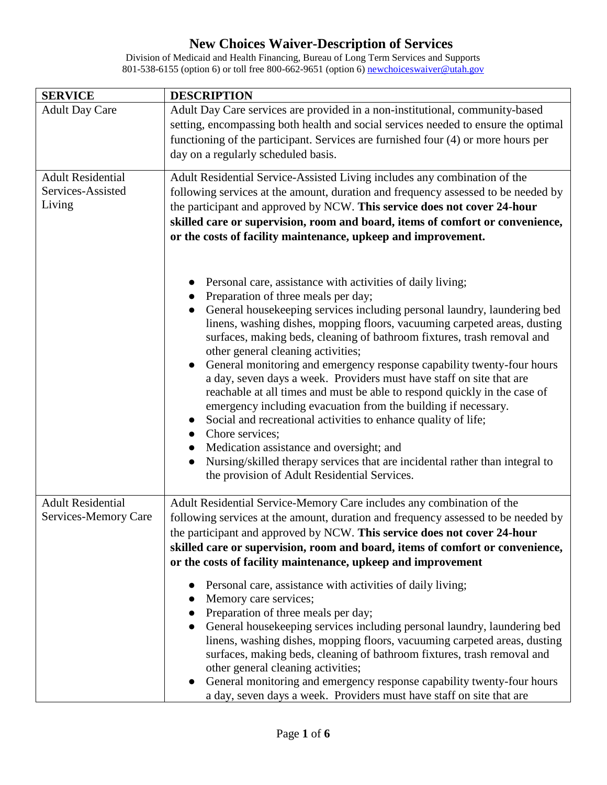| <b>SERVICE</b>                                          | <b>DESCRIPTION</b>                                                                                                                                                                                                                                                                                                                                                                                                                                                                                                                                                                                                                                                                                                                                                                                                                                                                                                                                                      |
|---------------------------------------------------------|-------------------------------------------------------------------------------------------------------------------------------------------------------------------------------------------------------------------------------------------------------------------------------------------------------------------------------------------------------------------------------------------------------------------------------------------------------------------------------------------------------------------------------------------------------------------------------------------------------------------------------------------------------------------------------------------------------------------------------------------------------------------------------------------------------------------------------------------------------------------------------------------------------------------------------------------------------------------------|
| <b>Adult Day Care</b>                                   | Adult Day Care services are provided in a non-institutional, community-based<br>setting, encompassing both health and social services needed to ensure the optimal<br>functioning of the participant. Services are furnished four (4) or more hours per<br>day on a regularly scheduled basis.                                                                                                                                                                                                                                                                                                                                                                                                                                                                                                                                                                                                                                                                          |
| <b>Adult Residential</b><br>Services-Assisted<br>Living | Adult Residential Service-Assisted Living includes any combination of the<br>following services at the amount, duration and frequency assessed to be needed by<br>the participant and approved by NCW. This service does not cover 24-hour<br>skilled care or supervision, room and board, items of comfort or convenience,<br>or the costs of facility maintenance, upkeep and improvement.                                                                                                                                                                                                                                                                                                                                                                                                                                                                                                                                                                            |
|                                                         | Personal care, assistance with activities of daily living;<br>Preparation of three meals per day;<br>General housekeeping services including personal laundry, laundering bed<br>$\bullet$<br>linens, washing dishes, mopping floors, vacuuming carpeted areas, dusting<br>surfaces, making beds, cleaning of bathroom fixtures, trash removal and<br>other general cleaning activities;<br>General monitoring and emergency response capability twenty-four hours<br>a day, seven days a week. Providers must have staff on site that are<br>reachable at all times and must be able to respond quickly in the case of<br>emergency including evacuation from the building if necessary.<br>Social and recreational activities to enhance quality of life;<br>Chore services;<br>$\bullet$<br>Medication assistance and oversight; and<br>Nursing/skilled therapy services that are incidental rather than integral to<br>the provision of Adult Residential Services. |
| <b>Adult Residential</b><br>Services-Memory Care        | Adult Residential Service-Memory Care includes any combination of the<br>following services at the amount, duration and frequency assessed to be needed by<br>the participant and approved by NCW. This service does not cover 24-hour<br>skilled care or supervision, room and board, items of comfort or convenience,<br>or the costs of facility maintenance, upkeep and improvement                                                                                                                                                                                                                                                                                                                                                                                                                                                                                                                                                                                 |
|                                                         | Personal care, assistance with activities of daily living;<br>Memory care services;<br>Preparation of three meals per day;<br>General housekeeping services including personal laundry, laundering bed<br>linens, washing dishes, mopping floors, vacuuming carpeted areas, dusting<br>surfaces, making beds, cleaning of bathroom fixtures, trash removal and<br>other general cleaning activities;<br>General monitoring and emergency response capability twenty-four hours<br>a day, seven days a week. Providers must have staff on site that are                                                                                                                                                                                                                                                                                                                                                                                                                  |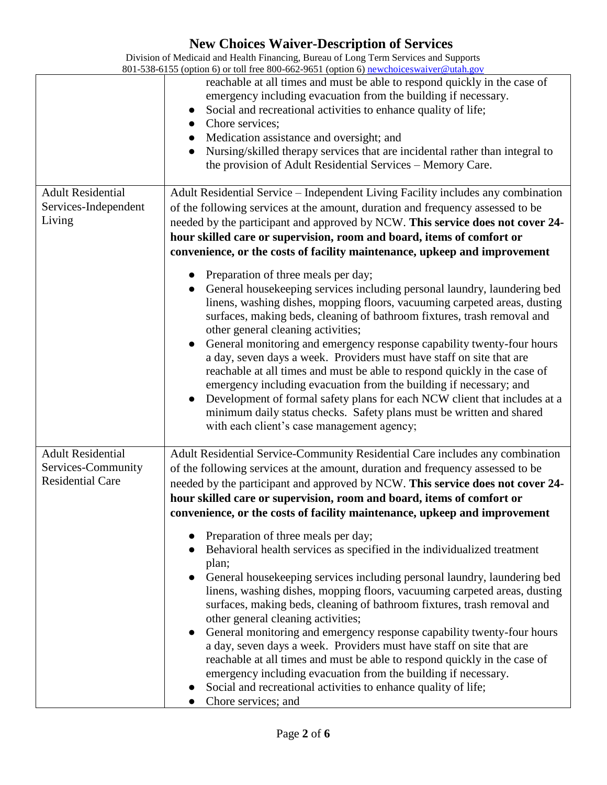|                                                                           | reachable at all times and must be able to respond quickly in the case of<br>emergency including evacuation from the building if necessary.<br>Social and recreational activities to enhance quality of life;<br>Chore services;<br>Medication assistance and oversight; and<br>Nursing/skilled therapy services that are incidental rather than integral to<br>the provision of Adult Residential Services - Memory Care.                                                                                                                                                                                                                                                                                                                                                                                                                                                                                                                                                                                                                                                                                                                                                                                                          |
|---------------------------------------------------------------------------|-------------------------------------------------------------------------------------------------------------------------------------------------------------------------------------------------------------------------------------------------------------------------------------------------------------------------------------------------------------------------------------------------------------------------------------------------------------------------------------------------------------------------------------------------------------------------------------------------------------------------------------------------------------------------------------------------------------------------------------------------------------------------------------------------------------------------------------------------------------------------------------------------------------------------------------------------------------------------------------------------------------------------------------------------------------------------------------------------------------------------------------------------------------------------------------------------------------------------------------|
| <b>Adult Residential</b><br>Services-Independent<br>Living                | Adult Residential Service - Independent Living Facility includes any combination<br>of the following services at the amount, duration and frequency assessed to be<br>needed by the participant and approved by NCW. This service does not cover 24-<br>hour skilled care or supervision, room and board, items of comfort or<br>convenience, or the costs of facility maintenance, upkeep and improvement<br>Preparation of three meals per day;<br>General housekeeping services including personal laundry, laundering bed<br>linens, washing dishes, mopping floors, vacuuming carpeted areas, dusting<br>surfaces, making beds, cleaning of bathroom fixtures, trash removal and<br>other general cleaning activities;<br>General monitoring and emergency response capability twenty-four hours<br>a day, seven days a week. Providers must have staff on site that are<br>reachable at all times and must be able to respond quickly in the case of<br>emergency including evacuation from the building if necessary; and<br>Development of formal safety plans for each NCW client that includes at a<br>minimum daily status checks. Safety plans must be written and shared<br>with each client's case management agency; |
| <b>Adult Residential</b><br>Services-Community<br><b>Residential Care</b> | Adult Residential Service-Community Residential Care includes any combination<br>of the following services at the amount, duration and frequency assessed to be<br>needed by the participant and approved by NCW. This service does not cover 24-<br>hour skilled care or supervision, room and board, items of comfort or<br>convenience, or the costs of facility maintenance, upkeep and improvement<br>Preparation of three meals per day;<br>Behavioral health services as specified in the individualized treatment<br>plan;<br>General housekeeping services including personal laundry, laundering bed<br>linens, washing dishes, mopping floors, vacuuming carpeted areas, dusting<br>surfaces, making beds, cleaning of bathroom fixtures, trash removal and<br>other general cleaning activities;<br>General monitoring and emergency response capability twenty-four hours<br>a day, seven days a week. Providers must have staff on site that are<br>reachable at all times and must be able to respond quickly in the case of<br>emergency including evacuation from the building if necessary.<br>Social and recreational activities to enhance quality of life;<br>Chore services; and                              |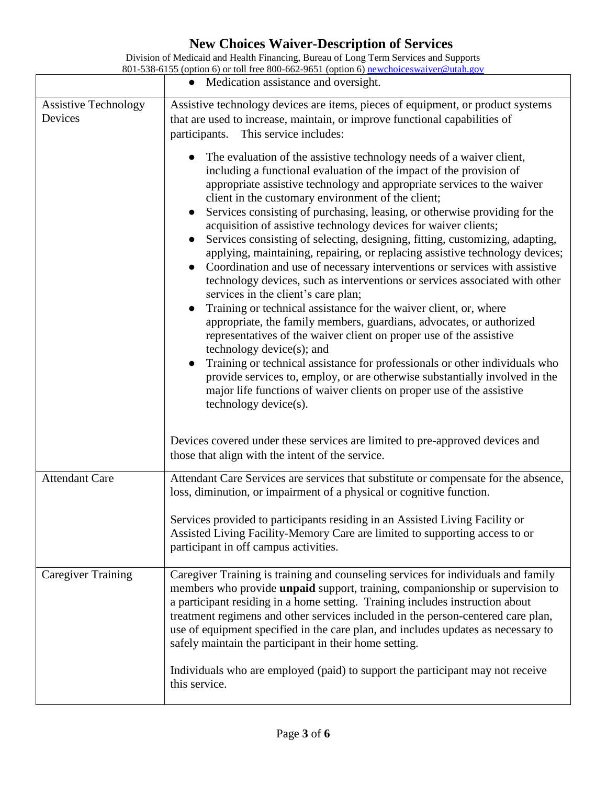|                                        | • Medication assistance and oversight.                                                                                                                                                                                                                                                                                                                                                                                                                                                                                                                                                                                                                                                                                                                                                                                                                                                                                                                                                                                                                                                                                                                                                                                                                                                                                                                                                                                                                                                                                                                                                                                                                             |
|----------------------------------------|--------------------------------------------------------------------------------------------------------------------------------------------------------------------------------------------------------------------------------------------------------------------------------------------------------------------------------------------------------------------------------------------------------------------------------------------------------------------------------------------------------------------------------------------------------------------------------------------------------------------------------------------------------------------------------------------------------------------------------------------------------------------------------------------------------------------------------------------------------------------------------------------------------------------------------------------------------------------------------------------------------------------------------------------------------------------------------------------------------------------------------------------------------------------------------------------------------------------------------------------------------------------------------------------------------------------------------------------------------------------------------------------------------------------------------------------------------------------------------------------------------------------------------------------------------------------------------------------------------------------------------------------------------------------|
| <b>Assistive Technology</b><br>Devices | Assistive technology devices are items, pieces of equipment, or product systems<br>that are used to increase, maintain, or improve functional capabilities of<br>This service includes:<br>participants.<br>The evaluation of the assistive technology needs of a waiver client,<br>including a functional evaluation of the impact of the provision of<br>appropriate assistive technology and appropriate services to the waiver<br>client in the customary environment of the client;<br>Services consisting of purchasing, leasing, or otherwise providing for the<br>acquisition of assistive technology devices for waiver clients;<br>Services consisting of selecting, designing, fitting, customizing, adapting,<br>applying, maintaining, repairing, or replacing assistive technology devices;<br>Coordination and use of necessary interventions or services with assistive<br>technology devices, such as interventions or services associated with other<br>services in the client's care plan;<br>Training or technical assistance for the waiver client, or, where<br>appropriate, the family members, guardians, advocates, or authorized<br>representatives of the waiver client on proper use of the assistive<br>technology device(s); and<br>Training or technical assistance for professionals or other individuals who<br>provide services to, employ, or are otherwise substantially involved in the<br>major life functions of waiver clients on proper use of the assistive<br>technology device(s).<br>Devices covered under these services are limited to pre-approved devices and<br>those that align with the intent of the service. |
| <b>Attendant Care</b>                  | Attendant Care Services are services that substitute or compensate for the absence,<br>loss, diminution, or impairment of a physical or cognitive function.<br>Services provided to participants residing in an Assisted Living Facility or<br>Assisted Living Facility-Memory Care are limited to supporting access to or<br>participant in off campus activities.                                                                                                                                                                                                                                                                                                                                                                                                                                                                                                                                                                                                                                                                                                                                                                                                                                                                                                                                                                                                                                                                                                                                                                                                                                                                                                |
| <b>Caregiver Training</b>              | Caregiver Training is training and counseling services for individuals and family<br>members who provide <b>unpaid</b> support, training, companionship or supervision to<br>a participant residing in a home setting. Training includes instruction about<br>treatment regimens and other services included in the person-centered care plan,<br>use of equipment specified in the care plan, and includes updates as necessary to<br>safely maintain the participant in their home setting.<br>Individuals who are employed (paid) to support the participant may not receive<br>this service.                                                                                                                                                                                                                                                                                                                                                                                                                                                                                                                                                                                                                                                                                                                                                                                                                                                                                                                                                                                                                                                                   |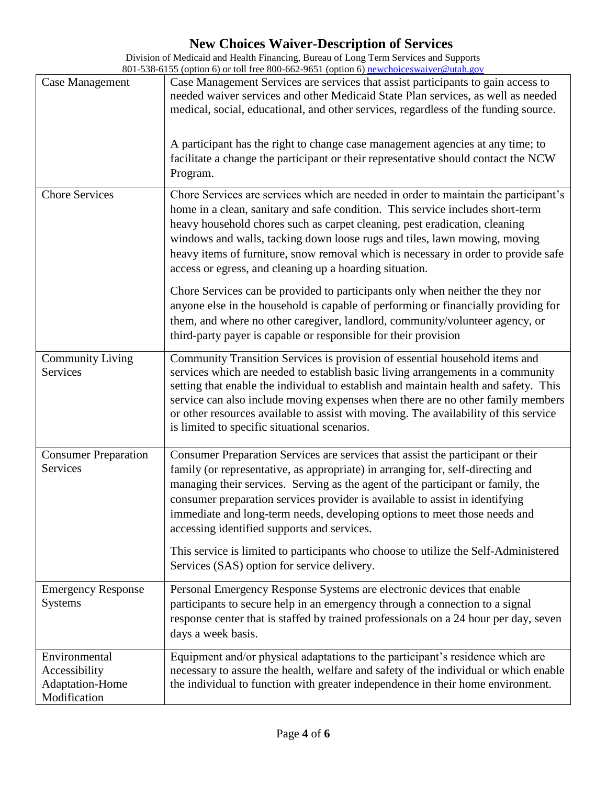| Case Management                                                   | Case Management Services are services that assist participants to gain access to<br>needed waiver services and other Medicaid State Plan services, as well as needed<br>medical, social, educational, and other services, regardless of the funding source.<br>A participant has the right to change case management agencies at any time; to<br>facilitate a change the participant or their representative should contact the NCW<br>Program.                                                                                                          |
|-------------------------------------------------------------------|----------------------------------------------------------------------------------------------------------------------------------------------------------------------------------------------------------------------------------------------------------------------------------------------------------------------------------------------------------------------------------------------------------------------------------------------------------------------------------------------------------------------------------------------------------|
| <b>Chore Services</b>                                             | Chore Services are services which are needed in order to maintain the participant's<br>home in a clean, sanitary and safe condition. This service includes short-term<br>heavy household chores such as carpet cleaning, pest eradication, cleaning<br>windows and walls, tacking down loose rugs and tiles, lawn mowing, moving<br>heavy items of furniture, snow removal which is necessary in order to provide safe<br>access or egress, and cleaning up a hoarding situation.                                                                        |
|                                                                   | Chore Services can be provided to participants only when neither the they nor<br>anyone else in the household is capable of performing or financially providing for<br>them, and where no other caregiver, landlord, community/volunteer agency, or<br>third-party payer is capable or responsible for their provision                                                                                                                                                                                                                                   |
| <b>Community Living</b><br>Services                               | Community Transition Services is provision of essential household items and<br>services which are needed to establish basic living arrangements in a community<br>setting that enable the individual to establish and maintain health and safety. This<br>service can also include moving expenses when there are no other family members<br>or other resources available to assist with moving. The availability of this service<br>is limited to specific situational scenarios.                                                                       |
| <b>Consumer Preparation</b><br>Services                           | Consumer Preparation Services are services that assist the participant or their<br>family (or representative, as appropriate) in arranging for, self-directing and<br>managing their services. Serving as the agent of the participant or family, the<br>consumer preparation services provider is available to assist in identifying<br>immediate and long-term needs, developing options to meet those needs and<br>accessing identified supports and services.<br>This service is limited to participants who choose to utilize the Self-Administered |
|                                                                   | Services (SAS) option for service delivery.                                                                                                                                                                                                                                                                                                                                                                                                                                                                                                              |
| <b>Emergency Response</b><br><b>Systems</b>                       | Personal Emergency Response Systems are electronic devices that enable<br>participants to secure help in an emergency through a connection to a signal<br>response center that is staffed by trained professionals on a 24 hour per day, seven<br>days a week basis.                                                                                                                                                                                                                                                                                     |
| Environmental<br>Accessibility<br>Adaptation-Home<br>Modification | Equipment and/or physical adaptations to the participant's residence which are<br>necessary to assure the health, welfare and safety of the individual or which enable<br>the individual to function with greater independence in their home environment.                                                                                                                                                                                                                                                                                                |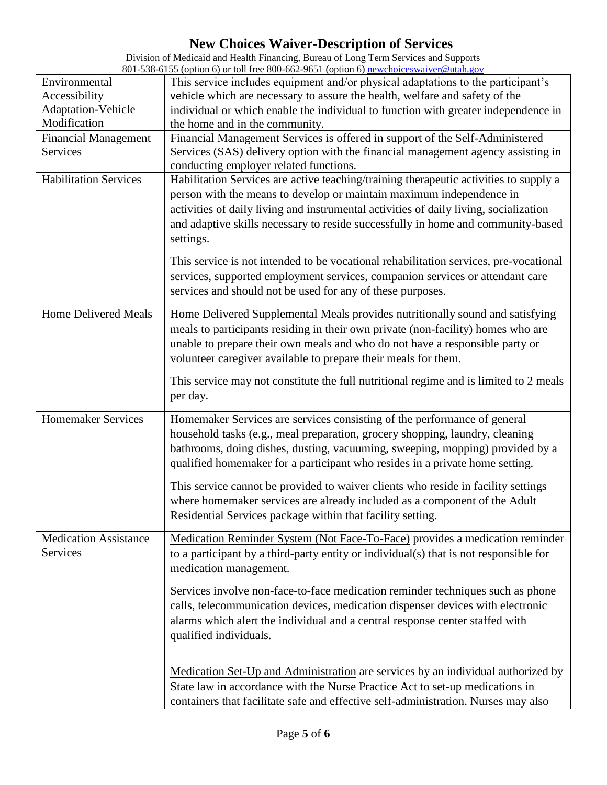| Environmental                            | This service includes equipment and/or physical adaptations to the participant's      |
|------------------------------------------|---------------------------------------------------------------------------------------|
| Accessibility                            | vehicle which are necessary to assure the health, welfare and safety of the           |
| Adaptation-Vehicle                       | individual or which enable the individual to function with greater independence in    |
| Modification                             | the home and in the community.                                                        |
| <b>Financial Management</b>              | Financial Management Services is offered in support of the Self-Administered          |
| Services                                 | Services (SAS) delivery option with the financial management agency assisting in      |
|                                          | conducting employer related functions.                                                |
| <b>Habilitation Services</b>             | Habilitation Services are active teaching/training therapeutic activities to supply a |
|                                          | person with the means to develop or maintain maximum independence in                  |
|                                          | activities of daily living and instrumental activities of daily living, socialization |
|                                          | and adaptive skills necessary to reside successfully in home and community-based      |
|                                          | settings.                                                                             |
|                                          |                                                                                       |
|                                          | This service is not intended to be vocational rehabilitation services, pre-vocational |
|                                          | services, supported employment services, companion services or attendant care         |
|                                          | services and should not be used for any of these purposes.                            |
| <b>Home Delivered Meals</b>              | Home Delivered Supplemental Meals provides nutritionally sound and satisfying         |
|                                          | meals to participants residing in their own private (non-facility) homes who are      |
|                                          | unable to prepare their own meals and who do not have a responsible party or          |
|                                          | volunteer caregiver available to prepare their meals for them.                        |
|                                          |                                                                                       |
|                                          | This service may not constitute the full nutritional regime and is limited to 2 meals |
|                                          | per day.                                                                              |
| <b>Homemaker Services</b>                | Homemaker Services are services consisting of the performance of general              |
|                                          | household tasks (e.g., meal preparation, grocery shopping, laundry, cleaning          |
|                                          | bathrooms, doing dishes, dusting, vacuuming, sweeping, mopping) provided by a         |
|                                          | qualified homemaker for a participant who resides in a private home setting.          |
|                                          |                                                                                       |
|                                          | This service cannot be provided to waiver clients who reside in facility settings     |
|                                          | where homemaker services are already included as a component of the Adult             |
|                                          | Residential Services package within that facility setting.                            |
|                                          |                                                                                       |
| <b>Medication Assistance</b><br>Services | Medication Reminder System (Not Face-To-Face) provides a medication reminder          |
|                                          | to a participant by a third-party entity or individual(s) that is not responsible for |
|                                          | medication management.                                                                |
|                                          | Services involve non-face-to-face medication reminder techniques such as phone        |
|                                          | calls, telecommunication devices, medication dispenser devices with electronic        |
|                                          | alarms which alert the individual and a central response center staffed with          |
|                                          | qualified individuals.                                                                |
|                                          |                                                                                       |
|                                          |                                                                                       |
|                                          | Medication Set-Up and Administration are services by an individual authorized by      |
|                                          | State law in accordance with the Nurse Practice Act to set-up medications in          |
|                                          | containers that facilitate safe and effective self-administration. Nurses may also    |